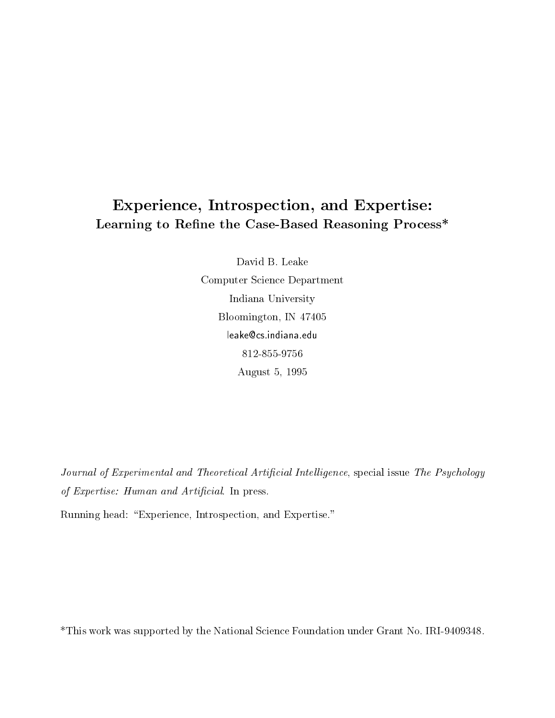# Experience, Introspection, and Expertise: Learning to Refine the Case-Based Reasoning Process\*

David B. Leake Computer Science Department Indiana University Bloomington, IN 47405 leake@cs.indiana.edu 812-855-9756 August 5, 1995

Journal of Experimental and Theoretical Artificial Intelligence, special issue The Psychology of Expertise: Human and Artificial. In press.

Running head: "Experience, Introspection, and Expertise."

\*This work was supported by the National Science Foundation under Grant No. IRI-9409348.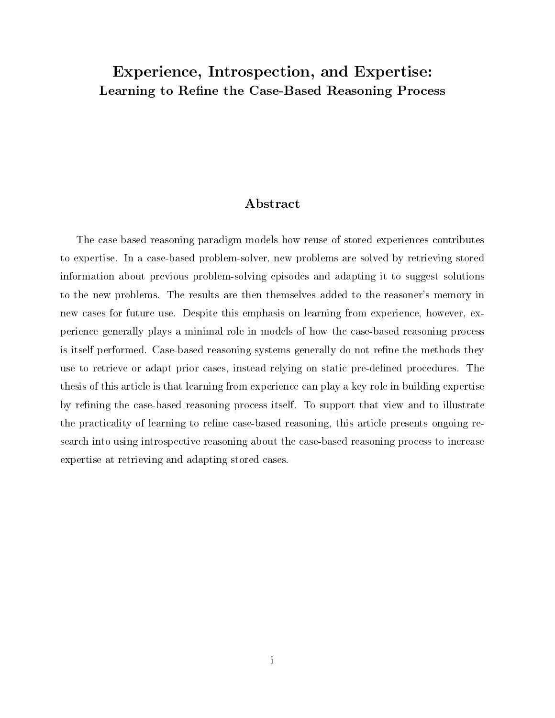## Experience, Introspection, and Expertise: Learning to Refine the Case-Based Reasoning Process

## Abstract

The case-based reasoning paradigm models how reuse of stored experiences contributes to expertise. In a case-based problem-solver, new problems are solved by retrieving stored information about previous problem-solving episodes and adapting it to suggest solutions to the new problems. The results are then themselves added to the reasoner's memory in new cases for future use. Despite this emphasis on learning from experience, however, experience generally plays a minimal role in models of how the case-based reasoning process is itself performed. Case-based reasoning systems generally do not refine the methods they use to retrieve or adapt prior cases, instead relying on static pre-defined procedures. The thesis of this article is that learning from experience can playakey role in building expertise by refining the case-based reasoning process itself. To support that view and to illustrate the practicality of learning to refine case-based reasoning, this article presents ongoing research into using introspective reasoning about the case-based reasoning process to increase expertise at retrieving and adapting stored cases.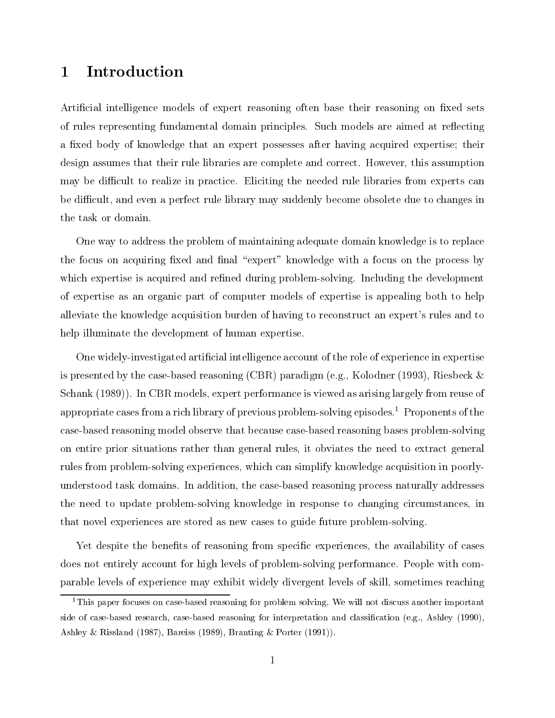#### 1Introduction

Artificial intelligence models of expert reasoning often base their reasoning on fixed sets of rules representing fundamental domain principles. Such models are aimed at reflecting a fixed body of knowledge that an expert possesses after having acquired expertise; their design assumes that their rule libraries are complete and correct. However, this assumption may be difficult to realize in practice. Eliciting the needed rule libraries from experts can be difficult, and even a perfect rule library may suddenly become obsolete due to changes in the task or domain.

One way to address the problem of maintaining adequate domain knowledge is to replace the focus on acquiring fixed and final "expert" knowledge with a focus on the process by which expertise is acquired and refined during problem-solving. Including the development of expertise as an organic part of computer models of expertise is appealing both to help alleviate the knowledge acquisition burden of having to reconstruct an expert's rules and to help illuminate the development of human expertise.

One widely-investigated articial intelligence account of the role of experience in expertise is presented by the case-based reasoning (CBR) paradigm (e.g., Kolodner (1993), Riesbeck & Schank (1989)). In CBR models, expert performance is viewed as arising largely from reuse of appropriate cases from a rich library of previous problem-solving episodes.<sup>1</sup> Proponents of the case-based reasoning model observe that because case-based reasoning bases problem-solving on entire prior situations rather than general rules, it obviates the need to extract general rules from problem-solving experiences, which can simplify knowledge acquisition in poorlyunderstood task domains. In addition, the case-based reasoning process naturally addresses the need to update problem-solving knowledge in response to changing circumstances, in that novel experiences are stored as new cases to guide future problem-solving.

Yet despite the benefits of reasoning from specific experiences, the availability of cases does not entirely account for high levels of problem-solving performance. People with comparable levels of experience may exhibit widely divergent levels of skill, sometimes reaching

<sup>&</sup>lt;sup>1</sup>This paper focuses on case-based reasoning for problem solving. We will not discuss another important side of case-based research, case-based reasoning for interpretation and classification (e.g., Ashley (1990), Ashley & Rissland (1987), Bareiss (1989), Branting & Porter (1991)).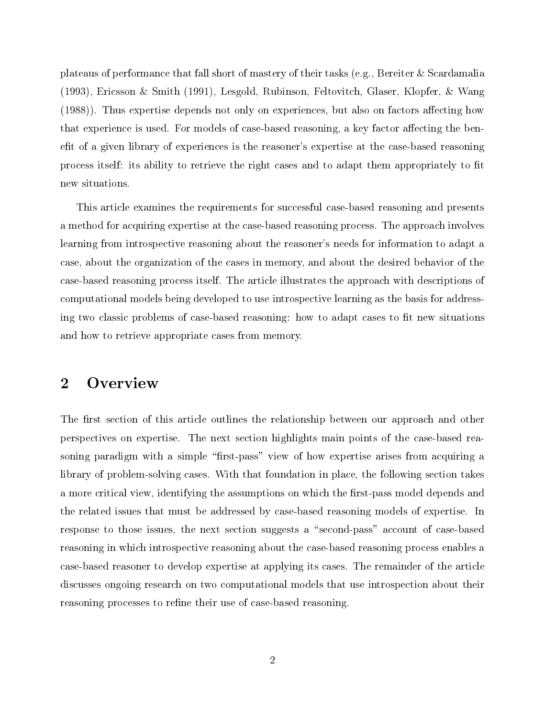plateaus of performance that fall short of mastery of their tasks (e.g., Bereiter & Scardamalia (1993), Ericsson & Smith (1991), Lesgold, Rubinson, Feltovitch, Glaser, Klopfer, & Wang  $(1988)$ ). Thus expertise depends not only on experiences, but also on factors affecting how that experience is used. For models of case-based reasoning, a key factor affecting the benefit of a given library of experiences is the reasoner's expertise at the case-based reasoning process itself: its ability to retrieve the right cases and to adapt them appropriately to fit new situations.

This article examines the requirements for successful case-based reasoning and presents a method for acquiring expertise at the case-based reasoning process. The approach involves learning from introspective reasoning about the reasoner's needs for information to adapt a case, about the organization of the cases in memory, and about the desired behavior of the case-based reasoning process itself. The article illustrates the approach with descriptions of computational models being developed to use introspective learning as the basis for addressing two classic problems of case-based reasoning: how to adapt cases to fit new situations and how to retrieve appropriate cases from memory.

#### 2**Overview**

The first section of this article outlines the relationship between our approach and other perspectives on expertise. The next section highlights main points of the case-based reasoning paradigm with a simple "first-pass" view of how expertise arises from acquiring a library of problem-solving cases. With that foundation in place, the following section takes a more critical view, identifying the assumptions on which the first-pass model depends and the related issues that must be addressed by case-based reasoning models of expertise. In response to those issues, the next section suggests a "second-pass" account of case-based reasoning in which introspective reasoning about the case-based reasoning process enables a case-based reasoner to develop expertise at applying its cases. The remainder of the article discusses ongoing research on two computational models that use introspection about their reasoning processes to refine their use of case-based reasoning.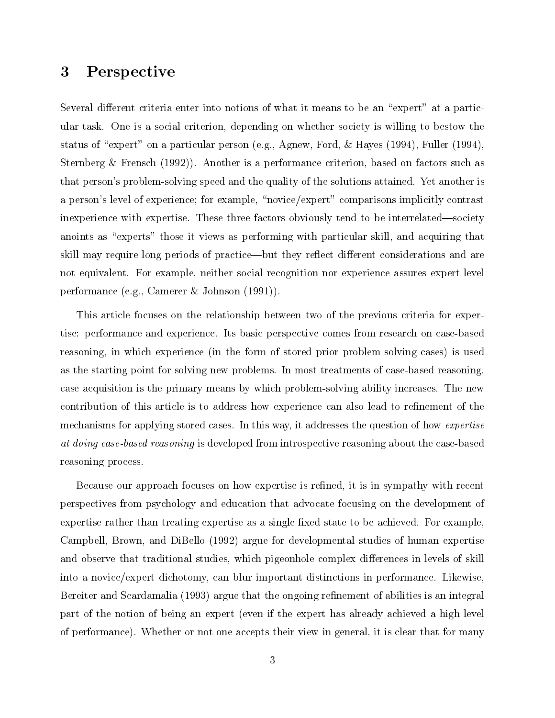#### 3Perspective

Several different criteria enter into notions of what it means to be an "expert" at a particular task. One is a social criterion, depending on whether society is willing to bestow the status of "expert" on a particular person (e.g., Agnew, Ford, & Hayes (1994), Fuller (1994), Sternberg & Frensch (1992)). Another is a performance criterion, based on factors such as that person's problem-solving speed and the quality of the solutions attained. Yet another is a person's level of experience; for example, "novice/expert" comparisons implicitly contrast inexperience with expertise. These three factors obviously tend to be interrelated—society anoints as "experts" those it views as performing with particular skill, and acquiring that skill may require long periods of practice—but they reflect different considerations and are not equivalent. For example, neither social recognition nor experience assures expert-level performance (e.g., Camerer & Johnson (1991)).

This article focuses on the relationship between two of the previous criteria for expertise: performance and experience. Its basic perspective comes from research on case-based reasoning, in which experience (in the form of stored prior problem-solving cases) is used as the starting point for solving new problems. In most treatments of case-based reasoning, case acquisition is the primary means by which problem-solving ability increases. The new contribution of this article is to address how experience can also lead to refinement of the mechanisms for applying stored cases. In this way, it addresses the question of how expertise at doing case-based reasoning is developed from introspective reasoning about the case-based reasoning process.

Because our approach focuses on how expertise is refined, it is in sympathy with recent perspectives from psychology and education that advocate focusing on the development of expertise rather than treating expertise as a single fixed state to be achieved. For example, Campbell, Brown, and DiBello (1992) argue for developmental studies of human expertise and observe that traditional studies, which pigeonhole complex differences in levels of skill into a novice/expert dichotomy, can blur important distinctions in performance. Likewise, Bereiter and Scardamalia (1993) argue that the ongoing refinement of abilities is an integral part of the notion of being an expert (even if the expert has already achieved a high level of performance). Whether or not one accepts their view in general, it is clear that for many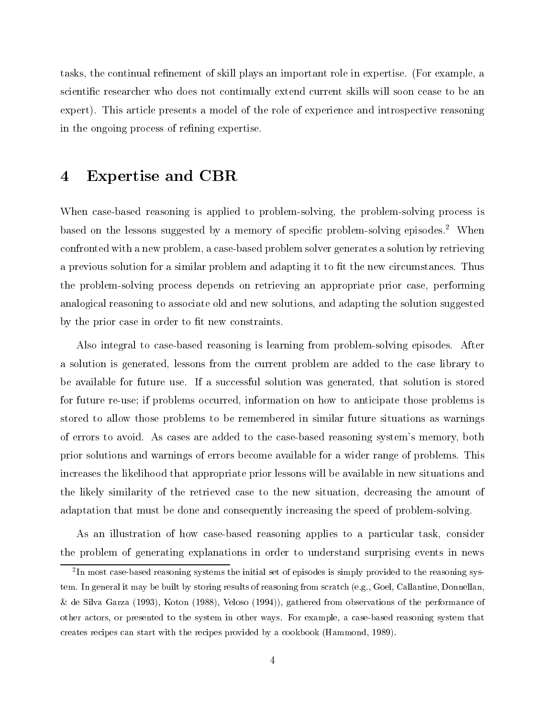tasks, the continual refinement of skill plays an important role in expertise. (For example, a scientic researcher who does not continually extend current skills will soon cease to be an expert). This article presents a model of the role of experience and introspective reasoning in the ongoing process of refining expertise.

#### Expertise and CBR  $\boldsymbol{4}$

When case-based reasoning is applied to problem-solving, the problem-solving process is based on the lessons suggested by a memory of specific problem-solving episodes.<sup>2</sup> When confronted with a new problem, a case-based problem solver generates a solution by retrieving a previous solution for a similar problem and adapting it to fit the new circumstances. Thus the problem-solving process depends on retrieving an appropriate prior case, performing analogical reasoning to associate old and new solutions, and adapting the solution suggested by the prior case in order to fit new constraints.

Also integral to case-based reasoning is learning from problem-solving episodes. After a solution is generated, lessons from the current problem are added to the case library to be available for future use. If a successful solution was generated, that solution is stored for future re-use; if problems occurred, information on how to anticipate those problems is stored to allow those problems to be remembered in similar future situations as warnings of errors to avoid. As cases are added to the case-based reasoning system's memory, both prior solutions and warnings of errors become available for a wider range of problems. This increases the likelihood that appropriate prior lessons will be available in new situations and the likely similarity of the retrieved case to the new situation, decreasing the amount of adaptation that must be done and consequently increasing the speed of problem-solving.

As an illustration of how case-based reasoning applies to a particular task, consider the problem of generating explanations in order to understand surprising events in news

<sup>2</sup> In most case-based reasoning systems the initial set of episodes is simply provided to the reasoning system. In general it may be built by storing results of reasoning from scratch (e.g., Goel, Callantine, Donnellan, & de Silva Garza (1993), Koton (1988), Veloso (1994)), gathered from observations of the performance of other actors, or presented to the system in other ways. For example, a case-based reasoning system that creates recipes can start with the recipes provided by a cookbook (Hammond, 1989).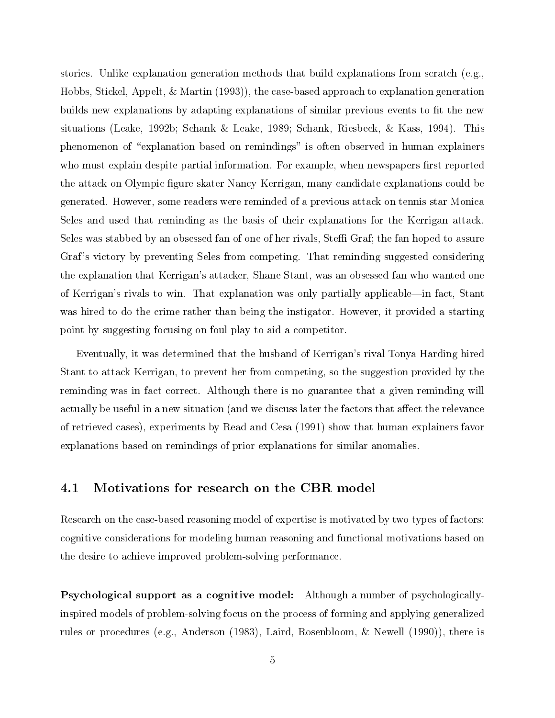stories. Unlike explanation generation methods that build explanations from scratch (e.g., Hobbs, Stickel, Appelt, & Martin (1993)), the case-based approach to explanation generation builds new explanations by adapting explanations of similar previous events to fit the new situations (Leake, 1992b; Schank & Leake, 1989; Schank, Riesbeck, & Kass, 1994). This phenomenon of \explanation based on remindings" is often observed in human explainers who must explain despite partial information. For example, when newspapers first reported the attack on Olympic figure skater Nancy Kerrigan, many candidate explanations could be generated. However, some readers were reminded of a previous attack on tennis star Monica Seles and used that reminding as the basis of their explanations for the Kerrigan attack. Seles was stabbed by an obsessed fan of one of her rivals, Steffi Graf; the fan hoped to assure Graf 's victory by preventing Seles from competing. That reminding suggested considering the explanation that Kerrigan's attacker, Shane Stant, was an obsessed fan who wanted one of Kerrigan's rivals to win. That explanation was only partially applicable—in fact, Stant was hired to do the crime rather than being the instigator. However, it provided a starting point by suggesting focusing on foul play to aid a competitor.

Eventually, it was determined that the husband of Kerrigan's rival Tonya Harding hired Stant to attack Kerrigan, to prevent her from competing, so the suggestion provided by the reminding was in fact correct. Although there is no guarantee that a given reminding will actually be useful in a new situation (and we discuss later the factors that affect the relevance of retrieved cases), experiments by Read and Cesa (1991) show that human explainers favor explanations based on remindings of prior explanations for similar anomalies.

## 4.1 Motivations for research on the CBR model

Research on the case-based reasoning model of expertise is motivated by two types of factors: cognitive considerations for modeling human reasoning and functional motivations based on the desire to achieve improved problem-solving performance.

Psychological support as a cognitive model: Although a number of psychologicallyinspired models of problem-solving focus on the process of forming and applying generalized rules or procedures (e.g., Anderson (1983), Laird, Rosenbloom, & Newell (1990)), there is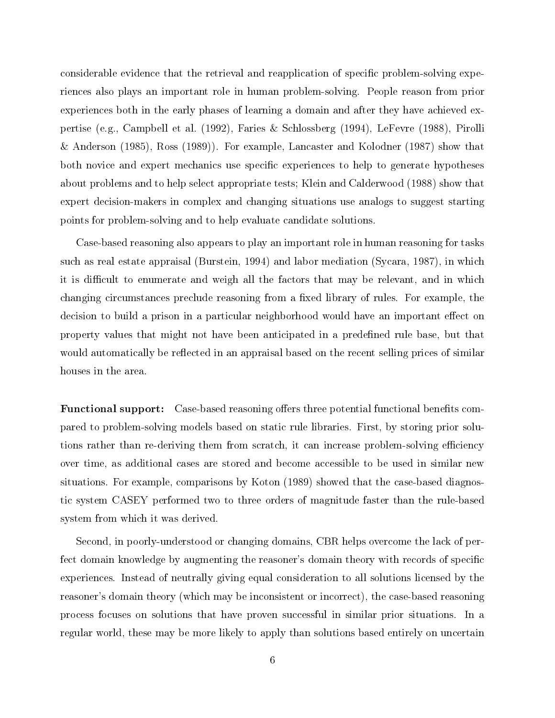considerable evidence that the retrieval and reapplication of specific problem-solving experiences also plays an important role in human problem-solving. People reason from prior experiences both in the early phases of learning a domain and after they have achieved expertise (e.g., Campbell et al. (1992), Faries & Schlossberg (1994), LeFevre (1988), Pirolli & Anderson (1985), Ross (1989)). For example, Lancaster and Kolodner (1987) show that both novice and expert mechanics use specic experiences to help to generate hypotheses about problems and to help select appropriate tests; Klein and Calderwood (1988) show that expert decision-makers in complex and changing situations use analogs to suggest starting points for problem-solving and to help evaluate candidate solutions.

Case-based reasoning also appears to play an important role in human reasoning for tasks such as real estate appraisal (Burstein, 1994) and labor mediation (Sycara, 1987), in which it is difficult to enumerate and weigh all the factors that may be relevant, and in which changing circumstances preclude reasoning from a fixed library of rules. For example, the decision to build a prison in a particular neighborhood would have an important effect on property values that might not have been anticipated in a predefined rule base, but that would automatically be reflected in an appraisal based on the recent selling prices of similar houses in the area.

**Functional support:** Case-based reasoning offers three potential functional benefits compared to problem-solving models based on static rule libraries. First, by storing prior solutions rather than re-deriving them from scratch, it can increase problem-solving efficiency over time, as additional cases are stored and become accessible to be used in similar new situations. For example, comparisons by Koton (1989) showed that the case-based diagnostic system CASEY performed two to three orders of magnitude faster than the rule-based system from which it was derived.

Second, in poorly-understood or changing domains, CBR helps overcome the lack of perfect domain knowledge by augmenting the reasoner's domain theory with records of specific experiences. Instead of neutrally giving equal consideration to all solutions licensed by the reasoner's domain theory (which may be inconsistent or incorrect), the case-based reasoning process focuses on solutions that have proven successful in similar prior situations. In a regular world, these may be more likely to apply than solutions based entirely on uncertain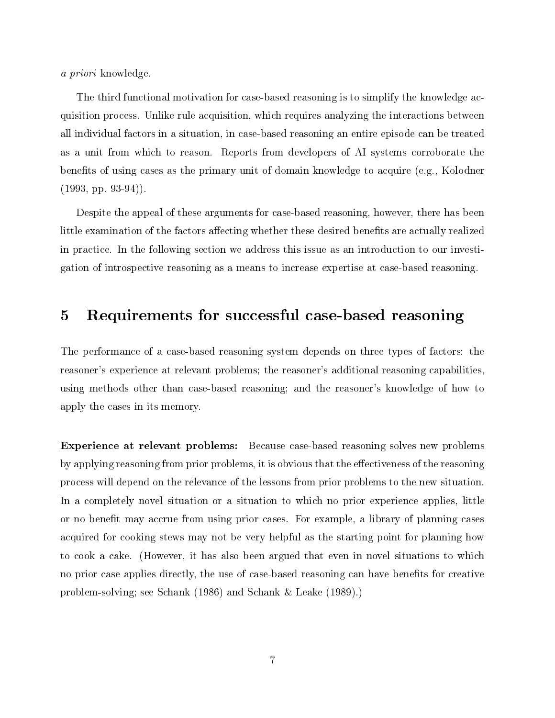a priori knowledge.

The third functional motivation for case-based reasoning is to simplify the knowledge acquisition process. Unlike rule acquisition, which requires analyzing the interactions between all individual factors in a situation, in case-based reasoning an entire episode can be treated as a unit from which to reason. Reports from developers of AI systems corroborate the benets of using cases as the primary unit of domain knowledge to acquire (e.g., Kolodner  $(1993, pp. 93-94)$ .

Despite the appeal of these arguments for case-based reasoning, however, there has been little examination of the factors affecting whether these desired benefits are actually realized in practice. In the following section we address this issue as an introduction to our investigation of introspective reasoning as a means to increase expertise at case-based reasoning.

#### 5Requirements for successful case-based reasoning

The performance of a case-based reasoning system depends on three types of factors: the reasoner's experience at relevant problems; the reasoner's additional reasoning capabilities, using methods other than case-based reasoning; and the reasoner's knowledge of how to apply the cases in its memory.

Experience at relevant problems: Because case-based reasoning solves new problems by applying reasoning from prior problems, it is obvious that the effectiveness of the reasoning process will depend on the relevance of the lessons from prior problems to the new situation. In a completely novel situation or a situation to which no prior experience applies, little or no benet may accrue from using prior cases. For example, a library of planning cases acquired for cooking stews may not be very helpful as the starting point for planning how to cook a cake. (However, it has also been argued that even in novel situations to which no prior case applies directly, the use of case-based reasoning can have benefits for creative problem-solving; see Schank (1986) and Schank & Leake (1989).)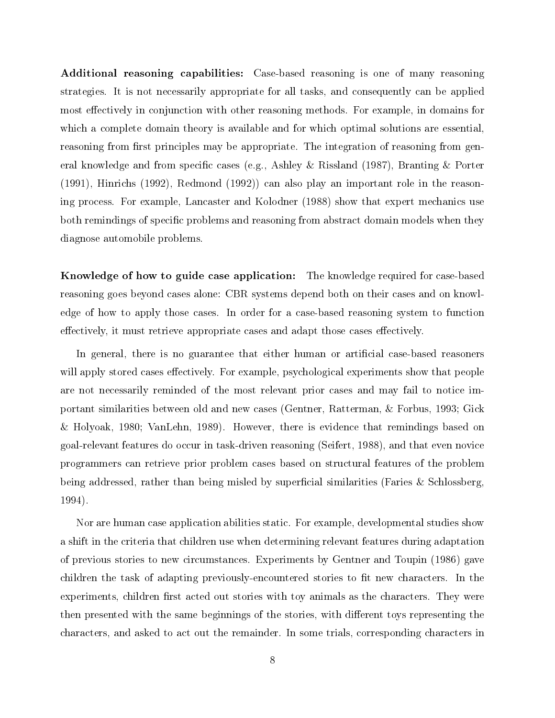Additional reasoning capabilities: Case-based reasoning is one of many reasoning strategies. It is not necessarily appropriate for all tasks, and consequently can be applied most effectively in conjunction with other reasoning methods. For example, in domains for which a complete domain theory is available and for which optimal solutions are essential, reasoning from first principles may be appropriate. The integration of reasoning from general knowledge and from specic cases (e.g., Ashley & Rissland (1987), Branting & Porter (1991), Hinrichs (1992), Redmond (1992)) can also play an important role in the reasoning process. For example, Lancaster and Kolodner (1988) show that expert mechanics use both remindings of specic problems and reasoning from abstract domain models when they diagnose automobile problems.

Knowledge of how to guide case application: The knowledge required for case-based reasoning goes beyond cases alone: CBR systems depend both on their cases and on knowledge of how to apply those cases. In order for a case-based reasoning system to function effectively, it must retrieve appropriate cases and adapt those cases effectively.

In general, there is no guarantee that either human or artificial case-based reasoners will apply stored cases effectively. For example, psychological experiments show that people are not necessarily reminded of the most relevant prior cases and may fail to notice important similarities between old and new cases (Gentner, Ratterman, & Forbus, 1993; Gick & Holyoak, 1980; VanLehn, 1989). However, there is evidence that remindings based on goal-relevant features do occur in task-driven reasoning (Seifert, 1988), and that even novice programmers can retrieve prior problem cases based on structural features of the problem being addressed, rather than being misled by superficial similarities (Faries & Schlossberg, 1994).

Nor are human case application abilities static. For example, developmental studies show a shift in the criteria that children use when determining relevant features during adaptation of previous stories to new circumstances. Experiments by Gentner and Toupin (1986) gave children the task of adapting previously-encountered stories to fit new characters. In the experiments, children first acted out stories with toy animals as the characters. They were then presented with the same beginnings of the stories, with different toys representing the characters, and asked to act out the remainder. In some trials, corresponding characters in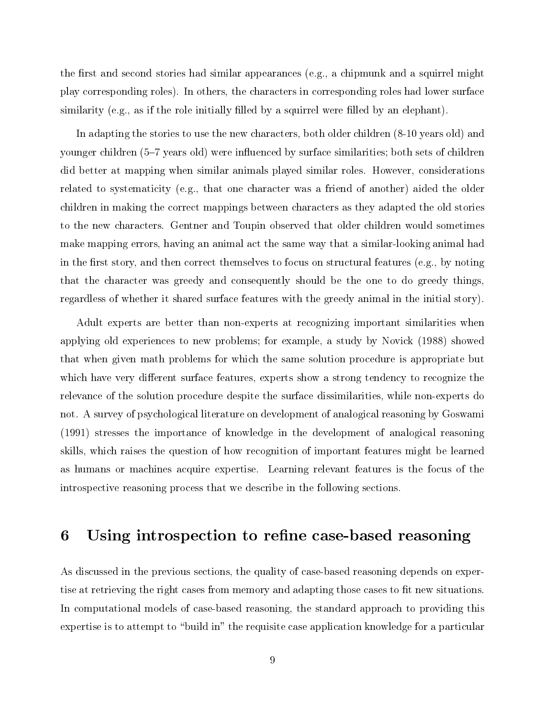the first and second stories had similar appearances (e.g., a chipmunk and a squirrel might play corresponding roles). In others, the characters in corresponding roles had lower surface similarity (e.g., as if the role initially filled by a squirrel were filled by an elephant).

In adapting the stories to use the new characters, both older children (8-10 years old) and younger children (5–7 years old) were influenced by surface similarities; both sets of children did better at mapping when similar animals played similar roles. However, considerations related to systematicity (e.g., that one character was a friend of another) aided the older children in making the correct mappings between characters as they adapted the old stories to the new characters. Gentner and Toupin observed that older children would sometimes make mapping errors, having an animal act the same way that a similar-looking animal had in the first story, and then correct themselves to focus on structural features (e.g., by noting that the character was greedy and consequently should be the one to do greedy things, regardless of whether it shared surface features with the greedy animal in the initial story).

Adult experts are better than non-experts at recognizing important similarities when applying old experiences to new problems; for example, a study by Novick (1988) showed that when given math problems for which the same solution procedure is appropriate but which have very different surface features, experts show a strong tendency to recognize the relevance of the solution procedure despite the surface dissimilarities, while non-experts do not. A survey of psychological literature on development of analogical reasoning by Goswami (1991) stresses the importance of knowledge in the development of analogical reasoning skills, which raises the question of how recognition of important features might be learned as humans or machines acquire expertise. Learning relevant features is the focus of the introspective reasoning process that we describe in the following sections.

#### 6Using introspection to refine case-based reasoning

As discussed in the previous sections, the quality of case-based reasoning depends on expertise at retrieving the right cases from memory and adapting those cases to fit new situations. In computational models of case-based reasoning, the standard approach to providing this expertise is to attempt to "build in" the requisite case application knowledge for a particular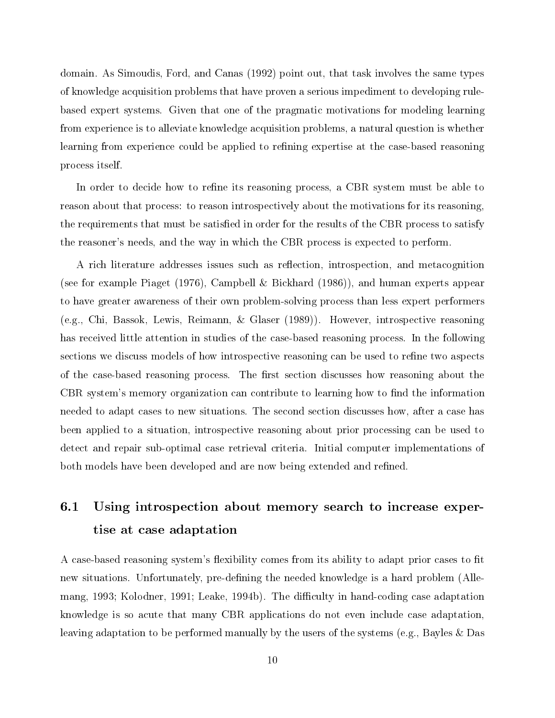domain. As Simoudis, Ford, and Canas (1992) point out, that task involves the same types of knowledge acquisition problems that have proven a serious impediment to developing rulebased expert systems. Given that one of the pragmatic motivations for modeling learning from experience is to alleviate knowledge acquisition problems, a natural question is whether learning from experience could be applied to refining expertise at the case-based reasoning process itself.

In order to decide how to refine its reasoning process, a CBR system must be able to reason about that process: to reason introspectively about the motivations for its reasoning, the requirements that must be satisfied in order for the results of the CBR process to satisfy the reasoner's needs, and the way in which the CBR process is expected to perform.

A rich literature addresses issues such as reflection, introspection, and metacognition (see for example Piaget (1976), Campbell & Bickhard (1986)), and human experts appear to have greater awareness of their own problem-solving process than less expert performers (e.g., Chi, Bassok, Lewis, Reimann, & Glaser (1989)). However, introspective reasoning has received little attention in studies of the case-based reasoning process. In the following sections we discuss models of how introspective reasoning can be used to refine two aspects of the case-based reasoning process. The first section discusses how reasoning about the CBR system's memory organization can contribute to learning how to find the information needed to adapt cases to new situations. The second section discusses how, after a case has been applied to a situation, introspective reasoning about prior processing can be used to detect and repair sub-optimal case retrieval criteria. Initial computer implementations of both models have been developed and are now being extended and refined.

# 6.1 Using introspection about memory search to increase expertise at case adaptation

A case-based reasoning system's flexibility comes from its ability to adapt prior cases to fit new situations. Unfortunately, pre-defining the needed knowledge is a hard problem (Allemang, 1993; Kolodner, 1991; Leake, 1994b). The difficulty in hand-coding case adaptation knowledge is so acute that many CBR applications do not even include case adaptation, leaving adaptation to be performed manually by the users of the systems (e.g., Bayles & Das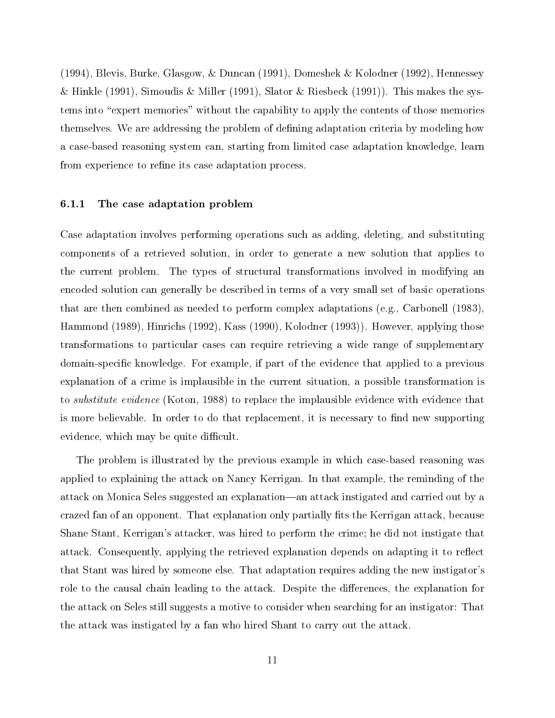(1994), Blevis, Burke, Glasgow, & Duncan (1991), Domeshek & Kolodner (1992), Hennessey & Hinkle (1991), Simoudis & Miller (1991), Slator & Riesbeck (1991)). This makes the systems into "expert memories" without the capability to apply the contents of those memories themselves. We are addressing the problem of defining adaptation criteria by modeling how a case-based reasoning system can, starting from limited case adaptation knowledge, learn from experience to refine its case adaptation process.

### 6.1.1 The case adaptation problem

Case adaptation involves performing operations such as adding, deleting, and substituting components of a retrieved solution, in order to generate a new solution that applies to the current problem. The types of structural transformations involved in modifying an encoded solution can generally be described in terms of a very small set of basic operations that are then combined as needed to perform complex adaptations (e.g., Carbonell (1983), Hammond (1989), Hinrichs (1992), Kass (1990), Kolodner (1993)). However, applying those transformations to particular cases can require retrieving a wide range of supplementary domain-specic knowledge. For example, if part of the evidence that applied to a previous explanation of a crime is implausible in the current situation, a possible transformation is to substitute evidence (Koton, 1988) to replace the implausible evidence with evidence that is more believable. In order to do that replacement, it is necessary to find new supporting evidence, which may be quite difficult.

The problem is illustrated by the previous example in which case-based reasoning was applied to explaining the attack on Nancy Kerrigan. In that example, the reminding of the attack on Monica Seles suggested an explanation—an attack instigated and carried out by a crazed fan of an opponent. That explanation only partially fits the Kerrigan attack, because Shane Stant, Kerrigan's attacker, was hired to perform the crime; he did not instigate that attack. Consequently, applying the retrieved explanation depends on adapting it to reflect that Stant was hired by someone else. That adaptation requires adding the new instigator's role to the causal chain leading to the attack. Despite the differences, the explanation for the attack on Seles still suggests a motive to consider when searching for an instigator: That the attack was instigated by a fan who hired Shant to carry out the attack.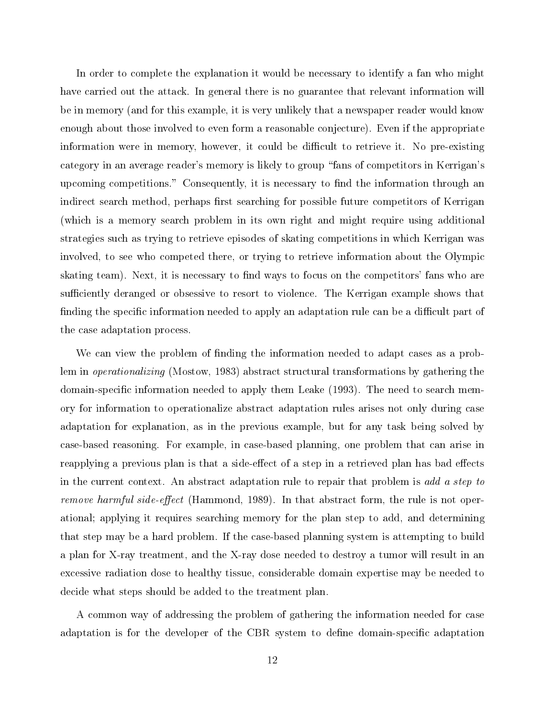In order to complete the explanation it would be necessary to identify a fan who might have carried out the attack. In general there is no guarantee that relevant information will be in memory (and for this example, it is very unlikely that a newspaper reader would know enough about those involved to even form a reasonable conjecture). Even if the appropriate information were in memory, however, it could be difficult to retrieve it. No pre-existing category in an average reader's memory is likely to group \fans of competitors in Kerrigan's upcoming competitions." Consequently, it is necessary to find the information through an indirect search method, perhaps first searching for possible future competitors of Kerrigan (which is a memory search problem in its own right and might require using additional strategies such astrying to retrieve episodes of skating competitions in which Kerrigan was involved, to see who competed there, or trying to retrieve information about the Olympic skating team). Next, it is necessary to find ways to focus on the competitors' fans who are sufficiently deranged or obsessive to resort to violence. The Kerrigan example shows that finding the specific information needed to apply an adaptation rule can be a difficult part of the case adaptation process.

We can view the problem of finding the information needed to adapt cases as a problem in operationalizing (Mostow, 1983) abstract structural transformations by gathering the domain-specic information needed to apply them Leake (1993). The need to search memory for information to operationalize abstract adaptation rules arises not only during case adaptation for explanation, as in the previous example, but for any task being solved by case-based reasoning. For example, in case-based planning, one problem that can arise in reapplying a previous plan is that a side-effect of a step in a retrieved plan has bad effects in the current context. An abstract adaptation rule to repair that problem is add a step to *remove harmful side-effect* (Hammond, 1989). In that abstract form, the rule is not operational; applying it requires searching memory for the plan step to add, and determining that step may be a hard problem. If the case-based planning system is attempting to build a plan for X-ray treatment, and the X-ray dose needed to destroy a tumor will result in an excessive radiation dose to healthy tissue, considerable domain expertise may be needed to decide what steps should be added to the treatment plan.

A common way of addressing the problem of gathering the information needed for case adaptation is for the developer of the CBR system to define domain-specific adaptation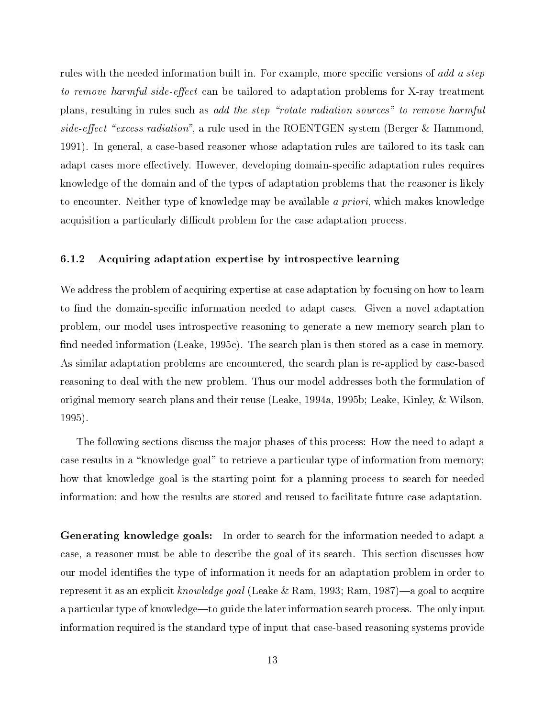rules with the needed information built in. For example, more specific versions of add a step to remove harmful side-effect can be tailored to adaptation problems for X-ray treatment plans, resulting in rules such as add the step \rotate radiation sources" to remove harmful side-effect "excess radiation", a rule used in the ROENTGEN system (Berger & Hammond, 1991). In general, a case-based reasoner whose adaptation rules are tailored to its task can adapt cases more effectively. However, developing domain-specific adaptation rules requires knowledge of the domain and of the types of adaptation problems that the reasoner is likely to encounter. Neither type of knowledge may be available a priori, which makes knowledge acquisition a particularly difficult problem for the case adaptation process.

### 6.1.2 Acquiring adaptation expertise by introspective learning

We address the problem of acquiring expertise at case adaptation by focusing on how to learn to find the domain-specific information needed to adapt cases. Given a novel adaptation problem, our model uses introspective reasoning to generate a new memory search plan to find needed information (Leake,  $1995c$ ). The search plan is then stored as a case in memory. As similar adaptation problems are encountered, the search plan is re-applied by case-based reasoning to deal with the new problem. Thus our model addresses both the formulation of original memory search plans and their reuse (Leake, 1994a, 1995b; Leake, Kinley, & Wilson, 1995).

The following sections discuss the major phases of this process: How the need to adapt a case results in a "knowledge goal" to retrieve a particular type of information from memory; how that knowledge goal is the starting point for a planning process to search for needed information; and how the results are stored and reused to facilitate future case adaptation.

Generating knowledge goals: In order to search for the information needed to adapt a case, a reasoner must be able to describe the goal of its search. This section discusses how our model identies the type of information it needs for an adaptation problem in order to represent it as an explicit knowledge goal (Leake & Ram, 1993; Ram, 1987)—a goal to acquire a particular type of knowledge—to guide the later information search process. The only input information required is the standard type of input that case-based reasoning systems provide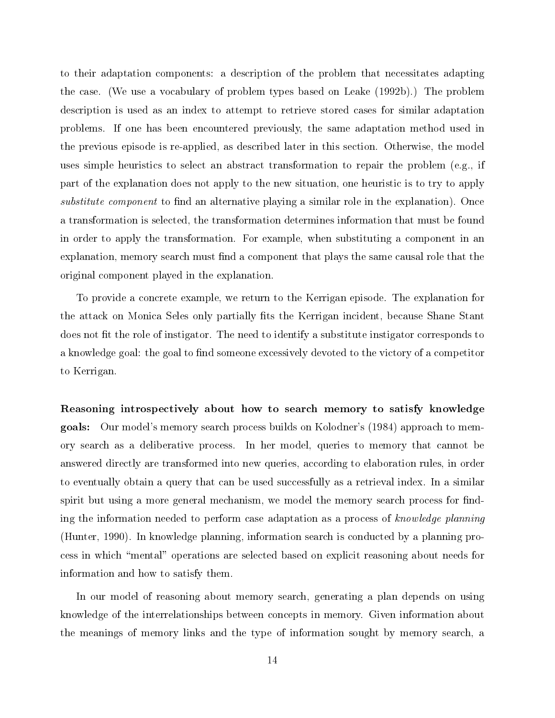to their adaptation components: a description of the problem that necessitates adapting the case. (We use a vocabulary of problem types based on Leake (1992b).) The problem description is used as an index to attempt to retrieve stored cases for similar adaptation problems. If one has been encountered previously, the same adaptation method used in the previous episode is re-applied, as described later in this section. Otherwise, the model uses simple heuristics to select an abstract transformation to repair the problem (e.g., if part of the explanation does not apply to the new situation, one heuristic is to try to apply substitute component to find an alternative playing a similar role in the explanation). Once a transformation is selected, the transformation determines information that must be found in order to apply the transformation. For example, when substituting a component in an explanation, memory search must find a component that plays the same causal role that the original component played in the explanation.

To provide a concrete example, we return to the Kerrigan episode. The explanation for the attack on Monica Seles only partially fits the Kerrigan incident, because Shane Stant does not fit the role of instigator. The need to identify a substitute instigator corresponds to a knowledge goal: the goal to find someone excessively devoted to the victory of a competitor to Kerrigan.

Reasoning introspectively about how to search memory to satisfy knowledge goals: Our model's memory search process builds on Kolodner's (1984) approach to memory search as a deliberative process. In her model, queries to memory that cannot be answered directly are transformed into new queries, according to elaboration rules, in order to eventually obtain a query that can be used successfully as a retrieval index. In a similar spirit but using a more general mechanism, we model the memory search process for finding the information needed to perform case adaptation as a process of knowledge planning (Hunter, 1990). In knowledge planning, information search is conducted by a planning process in which \mental" operations are selected based on explicit reasoning about needs for information and how to satisfy them.

In our model of reasoning about memory search, generating a plan depends on using knowledge of the interrelationships between concepts in memory. Given information about the meanings of memory links and the type of information sought by memory search, a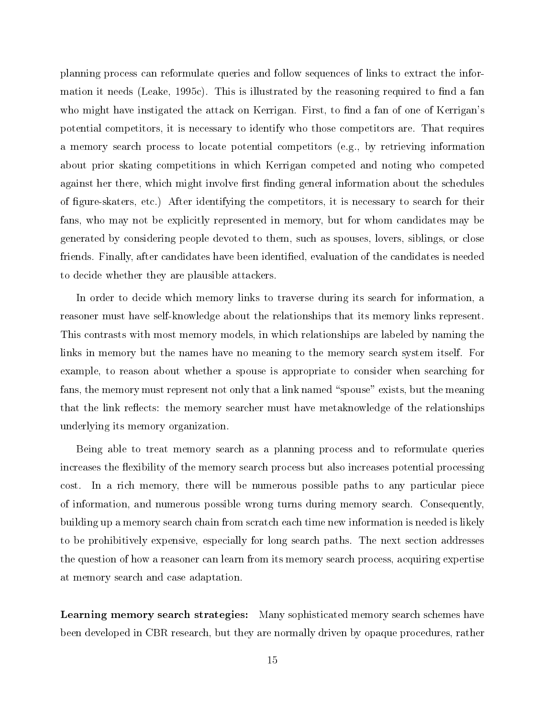planning process can reformulate queries and follow sequences of links to extract the information it needs (Leake, 1995c). This is illustrated by the reasoning required to find a fan who might have instigated the attack on Kerrigan. First, to find a fan of one of Kerrigan's potential competitors, it is necessary to identify who those competitors are. That requires a memory search process to locate potential competitors (e.g., by retrieving information about prior skating competitions in which Kerrigan competed and noting who competed against her there, which might involve first finding general information about the schedules of gure-skaters, etc.) After identifying the competitors, it is necessary to search for their fans, who may not be explicitly represented in memory, but for whom candidates may be generated by considering people devoted to them, such as spouses, lovers, siblings, or close friends. Finally, after candidates have been identied, evaluation of the candidates is needed to decide whether they are plausible attackers.

In order to decide which memory links to traverse during its search for information, a reasoner must have self-knowledge about the relationships that its memory links represent. This contrasts with most memory models, in which relationships are labeled by naming the links in memory but the names have no meaning to the memory search system itself. For example, to reason about whether a spouse is appropriate to consider when searching for fans, the memory must represent not only that a link named "spouse" exists, but the meaning that the link reflects: the memory searcher must have metaknowledge of the relationships underlying its memory organization.

Being able to treat memory search as a planning process and to reformulate queries increases the flexibility of the memory search process but also increases potential processing cost. In a rich memory, there will be numerous possible paths to any particular piece of information, and numerous possible wrong turns during memory search. Consequently, building up a memory search chain from scratch each time new information is needed is likely to be prohibitively expensive, especially for long search paths. The next section addresses the question of how a reasoner can learn from its memory search process, acquiring expertise at memory search and case adaptation.

Learning memory search strategies: Many sophisticated memory search schemes have been developed in CBR research, but they are normally driven by opaque procedures, rather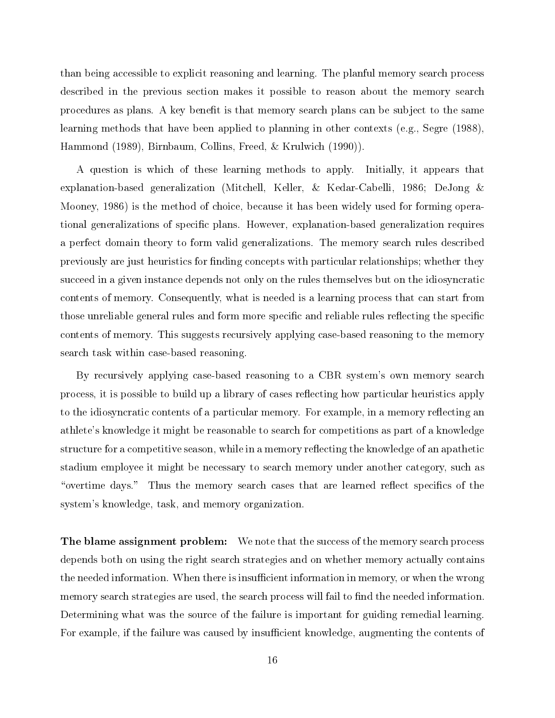than being accessible to explicit reasoning and learning. The planful memory search process described in the previous section makes it possible to reason about the memory search procedures as plans. A key benefit is that memory search plans can be subject to the same learning methods that have been applied to planning in other contexts (e.g., Segre (1988), Hammond (1989), Birnbaum, Collins, Freed, & Krulwich (1990)).

A question is which of these learning methods to apply. Initially, it appears that explanation-based generalization (Mitchell, Keller, & Kedar-Cabelli, 1986; DeJong & Mooney, 1986) is the method of choice, because it has been widely used for forming operational generalizations of specic plans. However, explanation-based generalization requires a perfect domain theory to form valid generalizations. The memory search rules described previously are just heuristics for finding concepts with particular relationships; whether they succeed in a given instance depends not only on the rules themselves but on the idiosyncratic contents of memory. Consequently, what is needed is a learning process that can start from those unreliable general rules and form more specific and reliable rules reflecting the specific contents of memory. This suggests recursively applying case-based reasoning to the memory search task within case-based reasoning.

By recursively applying case-based reasoning to a CBR system's own memory search process, it is possible to build up a library of cases reflecting how particular heuristics apply to the idiosyncratic contents of a particular memory. For example, in a memory reflecting an athlete's knowledge it might be reasonable to search for competitions as part of a knowledge structure for a competitive season, while in a memory reflecting the knowledge of an apathetic stadium employee it might be necessary to search memory under another category, such as "overtime days." Thus the memory search cases that are learned reflect specifics of the system's knowledge, task, and memory organization.

**The blame assignment problem:** We note that the success of the memory search process depends both on using the right search strategies and on whether memory actually contains the needed information. When there is insufficient information in memory, or when the wrong memory search strategies are used, the search process will fail to find the needed information. Determining what was the source of the failure is important for guiding remedial learning. For example, if the failure was caused by insufficient knowledge, augmenting the contents of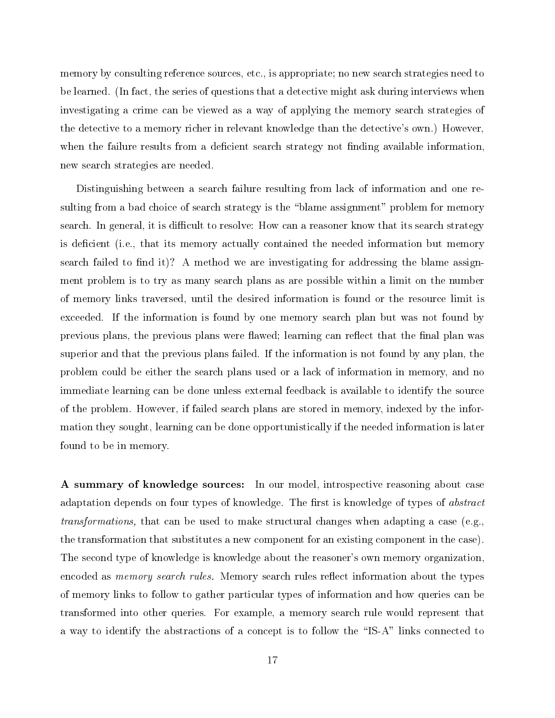memory by consulting reference sources, etc., is appropriate; no new search strategies need to be learned. (In fact, the series of questions that a detective might ask during interviews when investigating a crime can be viewed as a way of applying the memory search strategies of the detective to a memory richer in relevant knowledge than the detective's own.) However, when the failure results from a deficient search strategy not finding available information, new search strategies are needed.

Distinguishing between a search failure resulting from lack of information and one resulting from a bad choice of search strategy is the "blame assignment" problem for memory search. In general, it is difficult to resolve: How can a reasoner know that its search strategy is deficient (i.e., that its memory actually contained the needed information but memory search failed to find it)? A method we are investigating for addressing the blame assignment problem is to try as many search plans as are possible within a limit on the number of memory links traversed, until the desired information is found or the resource limit is exceeded. If the information is found by one memory search plan but was not found by previous plans, the previous plans were flawed; learning can reflect that the final plan was superior and that the previous plans failed. If the information is not found by any plan, the problem could be either the search plans used ora lack of information in memory, and no immediate learning can be done unless external feedback is available to identify the source of the problem. However, if failed search plans are stored in memory, indexed by the information they sought, learning can be done opportunistically if the needed information is later found to be in memory.

A summary of knowledge sources: In our model, introspective reasoning about case adaptation depends on four types of knowledge. The first is knowledge of types of  $\emph{abstract}$ transformations, that can be used to make structural changes when adapting a case (e.g., the transformation that substitutes a new component for an existing component in the case). The second type of knowledge is knowledge about the reasoner's own memory organization, encoded as *memory search rules*. Memory search rules reflect information about the types of memory links to follow to gather particular types of information and how queries can be transformed into other queries. For example, a memory search rule would represent that a way to identify the abstractions of a concept is to follow the "IS-A" links connected to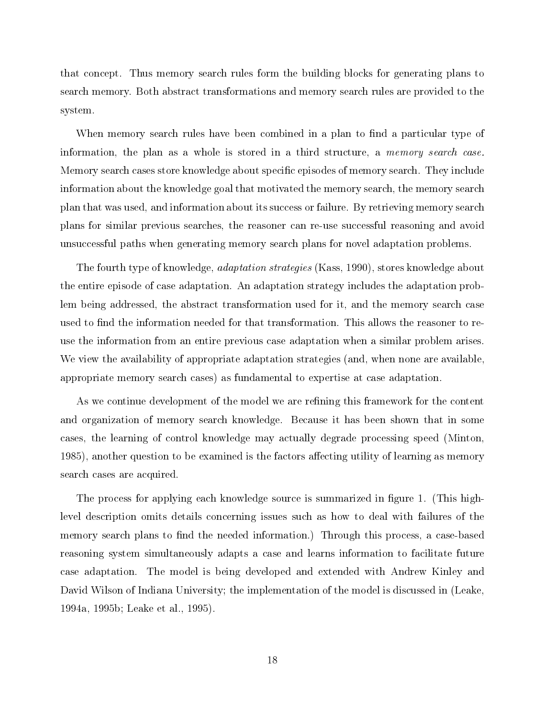that concept. Thus memory search rules form the building blocks for generating plans to search memory. Both abstract transformations and memory search rules are provided to the system.

When memory search rules have been combined in a plan to find a particular type of information, the plan as a whole is stored in a third structure, a *memory search case*. Memory search cases store knowledge about specific episodes of memory search. They include information about the knowledge goal that motivated the memory search, the memory search plan that was used, and information about its success or failure. By retrieving memory search plans for similar previous searches, the reasoner can re-use successful reasoning and avoid unsuccessful paths when generating memory search plans for novel adaptation problems.

The fourth type of knowledge, adaptation strategies (Kass, 1990), stores knowledge about the entire episode of case adaptation. An adaptation strategy includes the adaptation problem being addressed, the abstract transformation used for it, and the memory search case used to find the information needed for that transformation. This allows the reasoner to reuse the information from an entire previous case adaptation when a similar problem arises. We view the availability of appropriate adaptation strategies (and, when none are available, appropriate memory search cases) as fundamental to expertise at case adaptation.

As we continue development of the model we are refining this framework for the content and organization of memory search knowledge. Because it has been shown that in some cases, the learning of control knowledge may actually degrade processing speed (Minton, 1985), another question to be examined is the factors affecting utility of learning as memory search cases are acquired.

The process for applying each knowledge source is summarized in figure 1. (This highlevel description omits details concerning issues such as how to deal with failures of the memory search plans to find the needed information.) Through this process, a case-based reasoning system simultaneously adapts a case and learns information to facilitate future case adaptation. The model is being developed and extended with Andrew Kinley and David Wilson of Indiana University; the implementation of the model is discussed in (Leake, 1994a, 1995b; Leake et al., 1995).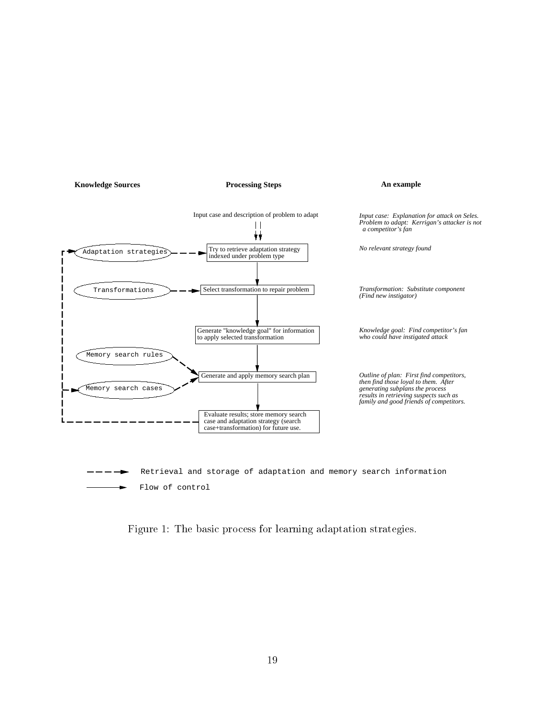

Figure 1: The basic process for learning adaptation strategies.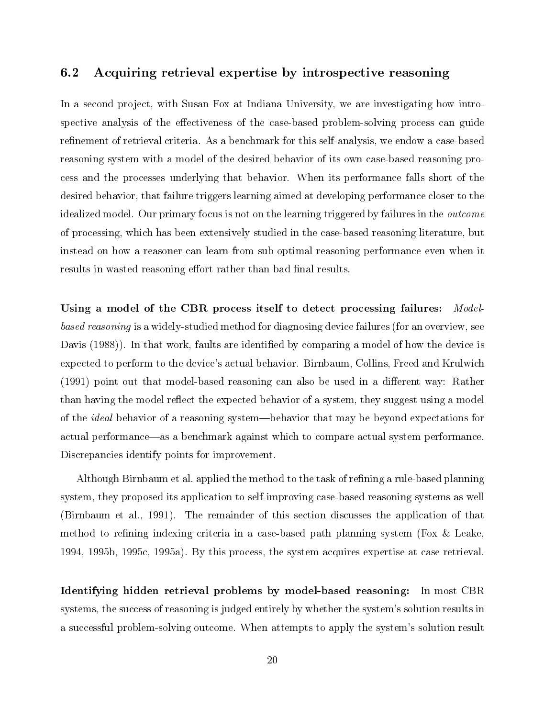## 6.2 Acquiring retrieval expertise by introspective reasoning

In a second project, with Susan Fox at Indiana University, we are investigating how introspective analysis of the effectiveness of the case-based problem-solving process can guide refinement of retrieval criteria. As a benchmark for this self-analysis, we endow a case-based reasoning system with a model of the desired behavior of its own case-based reasoning process and the processes underlying that behavior. When its performance falls short of the desired behavior, that failure triggers learning aimed at developing performance closer to the idealized model. Our primary focus is not on the learning triggered by failures in the outcome of processing, which has been extensively studied in the case-based reasoning literature, but instead on how a reasoner can learn from sub-optimal reasoning performance even when it results in wasted reasoning effort rather than bad final results.

Using a model of the CBR process itself to detect processing failures: Modelbased reasoning is a widely-studied method for diagnosing device failures (for an overview, see Davis (1988)). In that work, faults are identified by comparing a model of how the device is expected to perform to the device's actual behavior. Birnbaum, Collins, Freed and Krulwich  $(1991)$  point out that model-based reasoning can also be used in a different way: Rather than having the model reflect the expected behavior of a system, they suggest using a model of the *ideal* behavior of a reasoning system—behavior that may be beyond expectations for actual performance—as a benchmark against which to compare actual system performance. Discrepancies identify points for improvement.

Although Birnbaum et al. applied the method to the task of refining a rule-based planning system, they proposed its application to self-improving case-based reasoning systems as well (Birnbaum et al., 1991). The remainder of this section discusses the application of that method to refining indexing criteria in a case-based path planning system (Fox  $\&$  Leake, 1994, 1995b, 1995c, 1995a). By this process, the system acquires expertise at case retrieval.

Identifying hidden retrieval problems by model-based reasoning: In most CBR systems, the success of reasoning is judged entirely by whether the system's solution results in a successful problem-solving outcome. When attempts to apply the system's solution result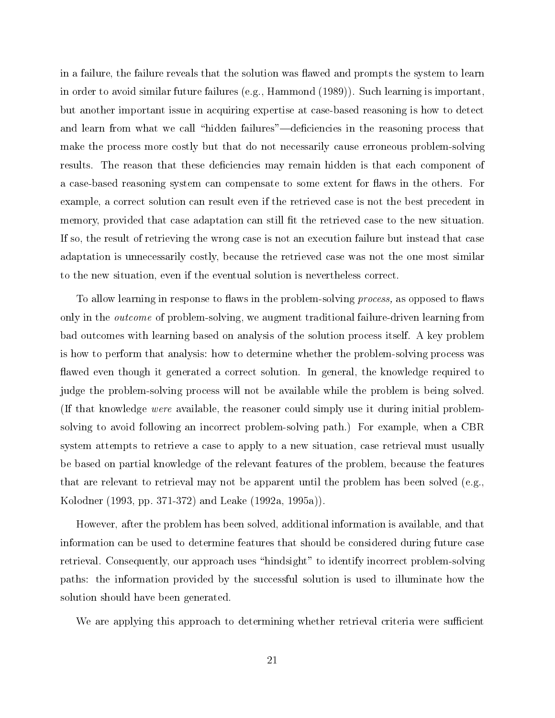in a failure, the failure reveals that the solution was flawed and prompts the system to learn in order to avoid similar future failures (e.g., Hammond (1989)). Such learning is important, but another important issue in acquiring expertise at case-based reasoning is how to detect and learn from what we call "hidden failures"—deficiencies in the reasoning process that make the process more costly but that do not necessarily cause erroneous problem-solving results. The reason that these deficiencies may remain hidden is that each component of a case-based reasoning system can compensate to some extent for flaws in the others. For example, a correct solution can result even if the retrieved case is not the best precedent in memory, provided that case adaptation can still fit the retrieved case to the new situation. If so, the result of retrieving the wrong case is not an execution failure but instead that case adaptation is unnecessarily costly, because the retrieved case was not the one most similar to the new situation, even if the eventual solution is nevertheless correct.

To allow learning in response to flaws in the problem-solving *process*, as opposed to flaws only in the *outcome* of problem-solving, we augment traditional failure-driven learning from bad outcomes with learning based on analysis of the solution process itself. A key problem is how to perform that analysis: how to determine whether the problem-solving process was flawed even though it generated a correct solution. In general, the knowledge required to judge the problem-solving process will not be available while the problem is being solved. (If that knowledge were available, the reasoner could simply use it during initial problemsolving to avoid following an incorrect problem-solving path.) For example, when a CBR system attempts to retrieve a case to apply to a new situation, case retrieval must usually be based on partial knowledge of the relevant features of the problem, because the features that are relevant to retrieval may not be apparent until the problem has been solved (e.g., Kolodner (1993, pp. 371-372) and Leake (1992a, 1995a)).

However, after the problem has been solved, additional information is available, and that information can be used to determine features that should be considered during future case retrieval. Consequently, our approach uses "hindsight" to identify incorrect problem-solving paths: the information provided by the successful solution is used to illuminate how the solution should have been generated.

We are applying this approach to determining whether retrieval criteria were sufficient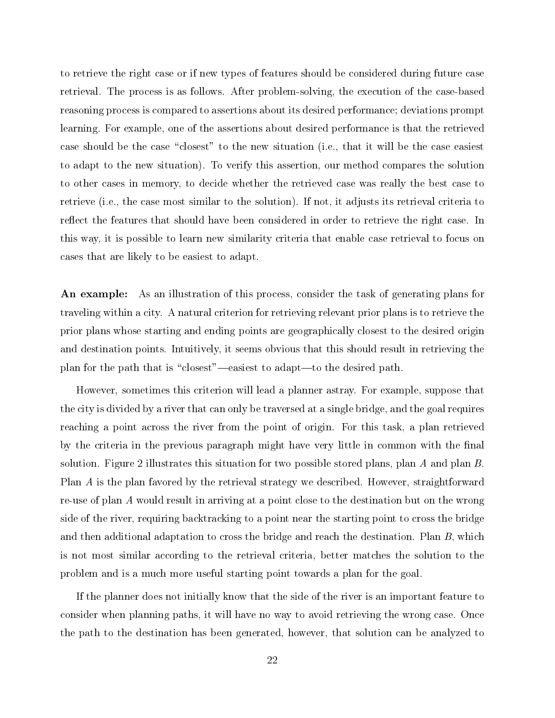to retrieve the right case or if new types of features should be considered during future case retrieval. The process is as follows. After problem-solving, the execution of the case-based reasoning process is compared to assertions about its desired performance; deviations prompt learning. For example, one of the assertions about desired performance is that the retrieved case should be the case "closest" to the new situation (i.e., that it will be the case easiest to adapt to the new situation). To verify this assertion, our method compares the solution to other cases in memory, to decide whether the retrieved case was really the best case to retrieve (i.e., the case most similar to the solution). If not, it adjusts its retrieval criteria to reflect the features that should have been considered in order to retrieve the right case. In this way, it is possible to learn new similarity criteria that enable case retrieval to focus on cases that are likely to be easiest to adapt.

An example: As an illustration of this process, consider the task of generating plans for traveling within a city. A natural criterion for retrieving relevant prior plans is to retrieve the prior plans whose starting and ending points are geographically closest to the desired origin and destination points. Intuitively, it seems obvious that this should result in retrieving the plan for the path that is "closest"—easiest to adapt—to the desired path.

However, sometimes this criterion will lead a planner astray. For example, suppose that the city is divided by a river that can only be traversed at a single bridge, and the goal requires reaching a point across the river from the point of origin. For this task, a plan retrieved by the criteria in the previous paragraph might have very little in common with the final solution. Figure 2 illustrates this situation for two possible stored plans, plan A and plan B. Plan A is the plan favored by the retrieval strategy we described. However, straightforward re-use of plan A would result in arriving at a point close to the destination but on the wrong side of the river, requiring backtracking to a point near the starting point to cross the bridge and then additional adaptation to cross the bridge and reach the destination. Plan B, which is not most similar according to the retrieval criteria, better matches the solution to the problem and is a much more useful starting point towards a plan for the goal.

If the planner does not initially know that the side of the river is an important feature to consider when planning paths, it will have no way to avoid retrieving the wrong case. Once the path to the destination has been generated, however, that solution can be analyzed to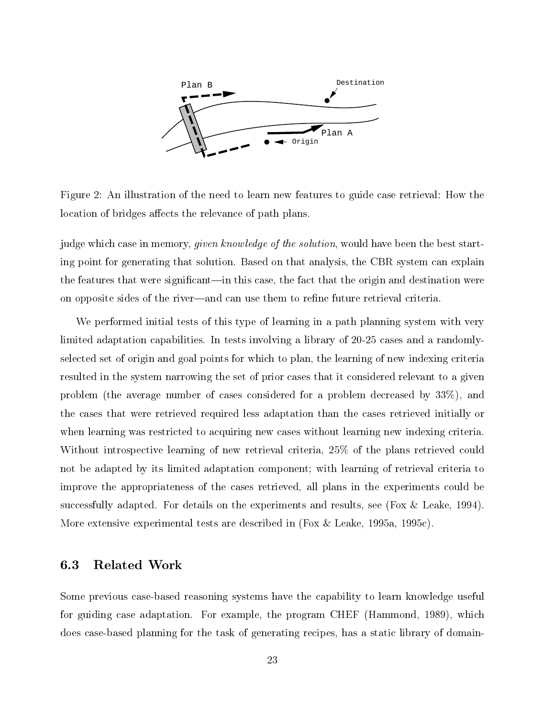

Figure 2: An illustration of the need to learn new features to guide case retrieval: How the location of bridges affects the relevance of path plans.

judge which case in memory, *given knowledge of the solution*, would have been the best starting point for generating that solution. Based on that analysis, the CBR system can explain the features that were significant—in this case, the fact that the origin and destination were on opposite sides of the river—and can use them to refine future retrieval criteria.

We performed initial tests of this type of learning in a path planning system with very limited adaptation capabilities. In tests involving a library of 20-25 cases and a randomlyselected set of origin and goal points for which to plan, the learning of new indexing criteria resulted in the system narrowing the set of prior cases that it considered relevant to a given problem (the average number of cases considered for a problem decreased by 33%), and the cases that were retrieved required less adaptation than the cases retrieved initially or when learning was restricted to acquiring new cases without learning new indexing criteria. Without introspective learning of new retrieval criteria, 25% of the plans retrieved could not be adapted by its limited adaptation component; with learning of retrieval criteria to improve the appropriateness of the cases retrieved, all plans in the experiments could be successfully adapted. For details on the experiments and results, see (Fox & Leake, 1994). More extensive experimental tests are described in (Fox & Leake, 1995a, 1995c).

## 6.3 Related Work

Some previous case-based reasoning systems have the capability to learn knowledge useful for guiding case adaptation. For example, the program CHEF (Hammond, 1989), which does case-based planning for the task of generating recipes, has a static library of domain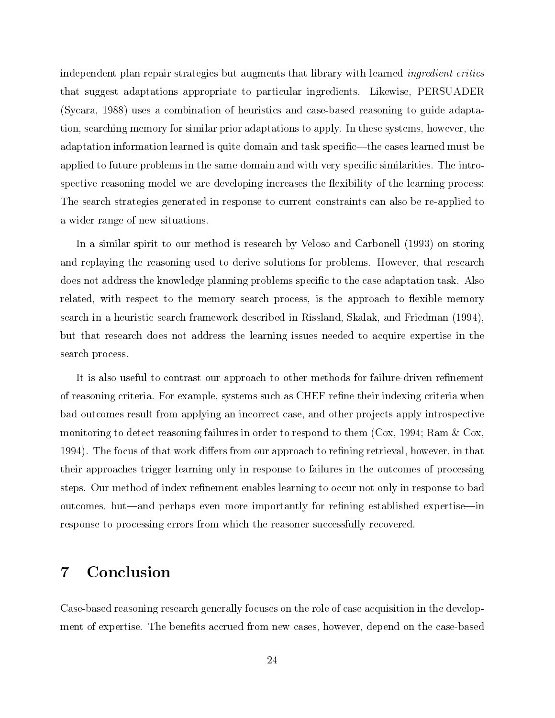independent plan repair strategies but augments that library with learned *ingredient critics* that suggest adaptations appropriate to particular ingredients. Likewise, PERSUADER (Sycara, 1988) uses a combination of heuristics and case-based reasoning to guide adaptation, searching memory for similar prior adaptations to apply. In these systems, however, the adaptation information learned is quite domain and task specific—the cases learned must be applied to future problems in the same domain and with very specic similarities. The introspective reasoning model we are developing increases the flexibility of the learning process: The search strategies generated in response to current constraints can also be re-applied to a wider range of new situations.

In a similar spirit to our method is research by Veloso and Carbonell (1993) on storing and replaying the reasoning used to derive solutions for problems. However, that research does not address the knowledge planning problems specific to the case adaptation task. Also related, with respect to the memory search process, is the approach to flexible memory search in a heuristic search framework described in Rissland, Skalak, and Friedman (1994), but that research does not address the learning issues needed to acquire expertise in the search process.

It is also useful to contrast our approach to other methods for failure-driven refinement of reasoning criteria. For example, systems such as CHEF refine their indexing criteria when bad outcomes result from applying an incorrect case, and other projects apply introspective monitoring to detect reasoning failures in order to respond to them (Cox, 1994; Ram & Cox, 1994). The focus of that work differs from our approach to refining retrieval, however, in that their approaches trigger learning only in response to failures in the outcomes of processing steps. Our method of index refinement enables learning to occur not only in response to bad outcomes, but—and perhaps even more importantly for refining established expertise—in response to processing errors from which the reasoner successfully recovered.

#### 7Conclusion

Case-based reasoning research generally focuses on the role of case acquisition in the development of expertise. The benets accrued from new cases, however, depend on the case-based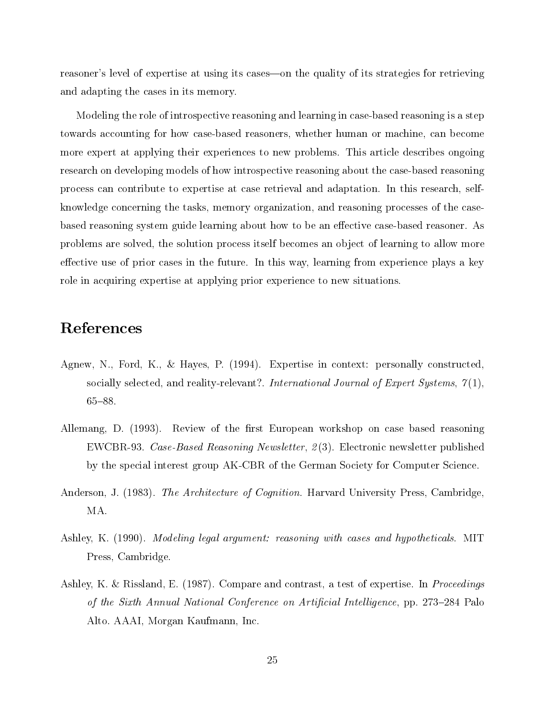reasoner's level of expertise at using its cases—on the quality of its strategies for retrieving and adapting the cases in its memory.

Modeling the role of introspective reasoning and learning in case-based reasoning is a step towards accounting for how case-based reasoners, whether human or machine, can become more expert at applying their experiences to new problems. This article describes ongoing research on developing models of how introspective reasoning about the case-based reasoning process can contribute to expertise at case retrieval and adaptation. In this research, selfknowledge concerning the tasks, memory organization, and reasoning processes of the casebased reasoning system guide learning about how to be an effective case-based reasoner. As problems are solved, the solution process itself becomes an object of learning to allow more effective use of prior cases in the future. In this way, learning from experience plays a key role in acquiring expertise at applying prior experience to new situations.

## References

- Agnew, N., Ford, K., & Hayes, P. (1994). Expertise in context: personally constructed, socially selected, and reality-relevant?. International Journal of Expert Systems,  $\gamma(1)$ ,  $65 - 88.$
- Allemang, D. (1993). Review of the first European workshop on case based reasoning EWCBR-93. Case-Based Reasoning Newsletter, 2 (3). Electronic newsletter published by the special interest group AK-CBR of the German Society for Computer Science.
- Anderson, J. (1983). The Architecture of Cognition. Harvard University Press, Cambridge, MA.
- Ashley, K. (1990). *Modeling legal argument: reasoning with cases and hypotheticals.* MIT Press, Cambridge.
- Ashley, K. & Rissland, E. (1987). Compare and contrast, a test of expertise. In *Proceedings* of the Sixth Annual National Conference on Artificial Intelligence, pp. 273–284 Palo Alto. AAAI, Morgan Kaufmann, Inc.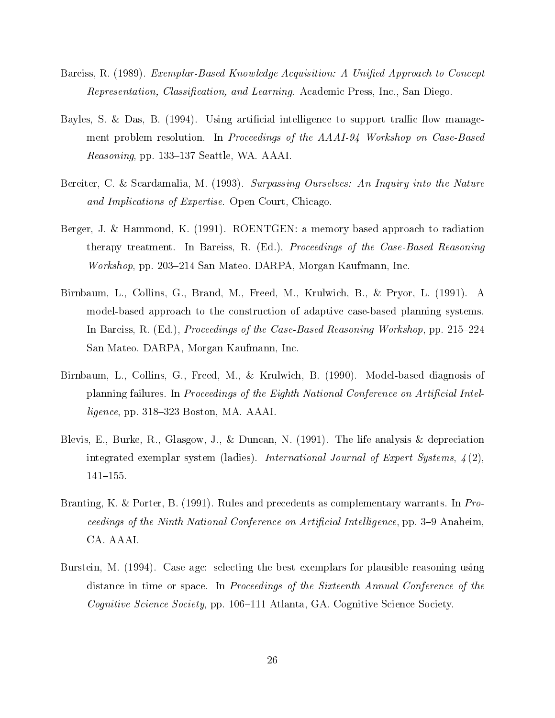- Bareiss, R. (1989). *Exemplar-Based Knowledge Acquisition: A Unified Approach to Concept* Representation, Classification, and Learning. Academic Press, Inc., San Diego.
- Bayles, S. & Das, B.  $(1994)$ . Using artificial intelligence to support traffic flow management problem resolution. In Proceedings of the AAAI-94 Workshop on Case-Based Reasoning, pp. 133–137 Seattle, WA. AAAI.
- Bereiter, C. & Scardamalia, M. (1993). Surpassing Ourselves: An Inquiry into the Nature and Implications of Expertise. Open Court, Chicago.
- Berger, J. & Hammond, K. (1991). ROENTGEN: a memory-based approach to radiation therapy treatment. In Bareiss, R. (Ed.), Proceedings of the Case-Based Reasoning Workshop, pp. 203–214 San Mateo. DARPA, Morgan Kaufmann, Inc.
- Birnbaum, L., Collins, G., Brand, M., Freed, M., Krulwich, B., & Pryor, L. (1991). A model-based approach to the construction of adaptive case-based planning systems. In Bareiss, R. (Ed.), *Proceedings of the Case-Based Reasoning Workshop*, pp. 215–224 San Mateo. DARPA, Morgan Kaufmann, Inc.
- Birnbaum, L., Collins, G., Freed, M., & Krulwich, B. (1990). Model-based diagnosis of planning failures. In Proceedings of the Eighth National Conference on Artificial Intel $ligence$ , pp. 318–323 Boston, MA. AAAI.
- Blevis, E., Burke, R., Glasgow, J., & Duncan, N. (1991). The life analysis & depreciation integrated exemplar system (ladies). International Journal of Expert Systems,  $\mathcal{L}(2)$ ,  $141{-}155.$
- Branting, K. & Porter, B. (1991). Rules and precedents as complementary warrants. In Proceedings of the Ninth National Conference on Artificial Intelligence, pp. 3-9 Anaheim, CA. AAAI.
- Burstein, M. (1994). Case age: selecting the best exemplars for plausible reasoning using distance in time or space. In Proceedings of the Sixteenth Annual Conference of the Cognitive Science Society, pp. 106-111 Atlanta, GA. Cognitive Science Society.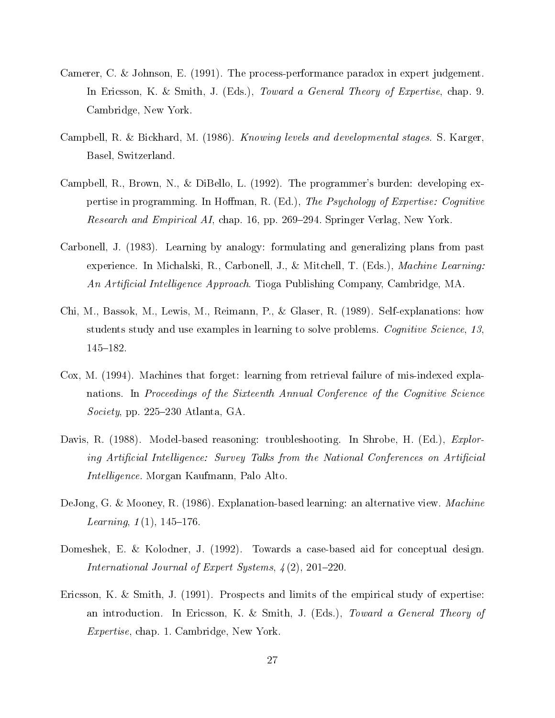- Camerer, C. & Johnson, E. (1991). The process-performance paradox in expert judgement. In Ericsson, K. & Smith, J. (Eds.), *Toward a General Theory of Expertise*, chap. 9. Cambridge, New York.
- Campbell, R. & Bickhard, M. (1986). *Knowing levels and developmental stages.* S. Karger, Basel, Switzerland.
- Campbell, R., Brown, N., & DiBello, L. (1992). The programmer's burden: developing expertise in programming. In Hoffman, R. (Ed.), The Psychology of Expertise: Cognitive Research and Empirical AI, chap. 16, pp. 269–294. Springer Verlag, New York.
- Carbonell, J. (1983). Learning by analogy: formulating and generalizing plans from past experience. In Michalski, R., Carbonell, J., & Mitchell, T. (Eds.), *Machine Learning:* An Artificial Intelligence Approach. Tioga Publishing Company, Cambridge, MA.
- Chi, M., Bassok, M., Lewis, M., Reimann, P., & Glaser, R. (1989). Self-explanations: how students study and use examples in learning to solve problems. Cognitive Science, 13, 145{182.
- Cox, M. (1994). Machines that forget: learning from retrieval failure of mis-indexed explanations. In Proceedings of the Sixteenth Annual Conference of the Cognitive Science Society, pp. 225–230 Atlanta, GA.
- Davis, R. (1988). Model-based reasoning: troubleshooting. In Shrobe, H. (Ed.), *Explor*ing Artificial Intelligence: Survey Talks from the National Conferences on Artificial *Intelligence*. Morgan Kaufmann, Palo Alto.
- DeJong, G. & Mooney, R. (1986). Explanation-based learning: an alternative view. *Machine* Learning,  $1(1)$ ,  $145-176$ .
- Domeshek, E. & Kolodner, J. (1992). Towards a case-based aid for conceptual design. International Journal of Expert Systems,  $\frac{1}{2}(2), 201-220$ .
- Ericsson, K. & Smith, J. (1991). Prospects and limits of the empirical study of expertise: an introduction. In Ericsson, K. & Smith, J. (Eds.), Toward a General Theory of Expertise, chap. 1. Cambridge, New York.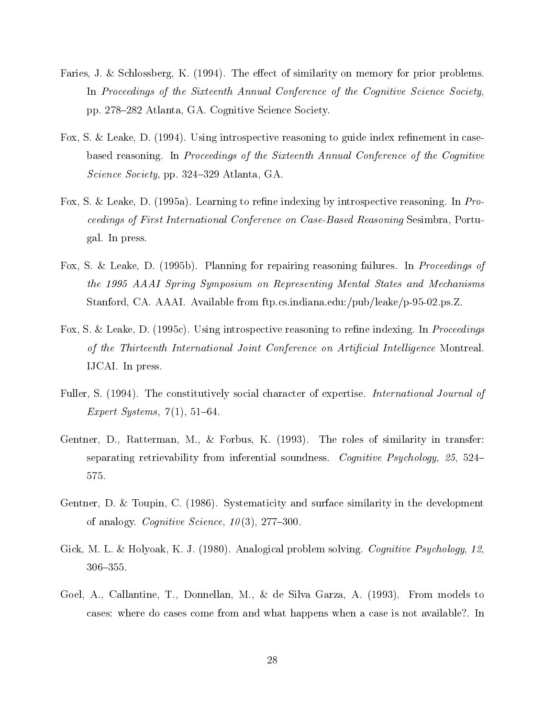- Faries, J. & Schlossberg, K. (1994). The effect of similarity on memory for prior problems. In Proceedings of the Sixteenth Annual Conference of the Cognitive Science Society, pp. 278{282 Atlanta, GA. Cognitive Science Society.
- Fox, S. & Leake, D.  $(1994)$ . Using introspective reasoning to guide index refinement in casebased reasoning. In Proceedings of the Sixteenth Annual Conference of the Cognitive Science Society, pp. 324-329 Atlanta, GA.
- Fox, S. & Leake, D. (1995a). Learning to refine indexing by introspective reasoning. In Proceedings of First International Conference on Case-Based Reasoning Sesimbra, Portugal. In press.
- Fox, S. & Leake, D. (1995b). Planning for repairing reasoning failures. In *Proceedings of* the 1995 AAAI Spring Symposium on Representing Mental States and Mechanisms Stanford, CA. AAAI. Available from ftp.cs.indiana.edu:/pub/leake/p-95-02.ps.Z.
- Fox, S. & Leake, D. (1995c). Using introspective reasoning to refine indexing. In *Proceedings* of the Thirteenth International Joint Conference on Artificial Intelligence Montreal. IJCAI. In press.
- Fuller, S. (1994). The constitutively social character of expertise. *International Journal of* Expert Systems,  $7(1)$ , 51-64.
- Gentner, D., Ratterman, M., & Forbus, K. (1993). The roles of similarity in transfer: separating retrievability from inferential soundness. Cognitive Psychology, 25, 524– 575.
- Gentner, D. & Toupin, C. (1986). Systematicity and surface similarity in the development of analogy. Cognitive Science,  $10(3)$ , 277-300.
- Gick, M. L. & Holyoak, K. J. (1980). Analogical problem solving. *Cognitive Psychology*, 12, 306-355.
- Goel, A., Callantine, T., Donnellan, M., & de Silva Garza, A. (1993). From models to cases: where do cases come from and what happens when a case is not available?. In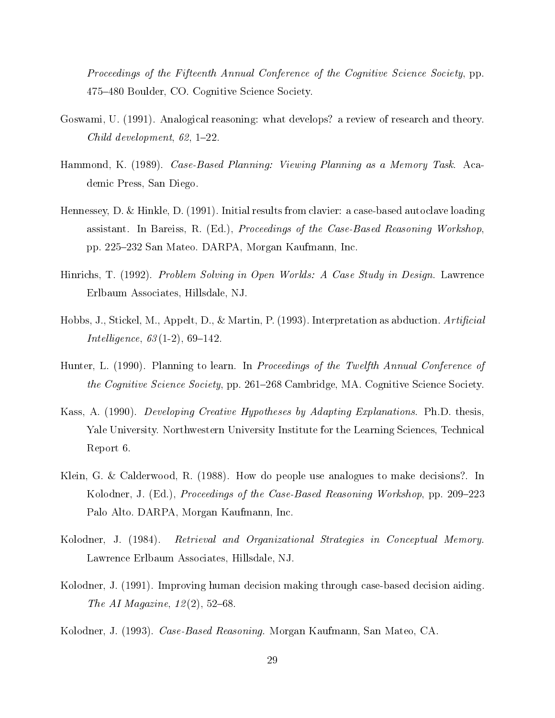Proceedings of the Fifteenth Annual Conference of the Cognitive Science Society, pp. 475–480 Boulder, CO. Cognitive Science Society.

- Goswami, U. (1991). Analogical reasoning: what develops? a review of research and theory. Child development,  $62, 1–22$ .
- Hammond, K. (1989). Case-Based Planning: Viewing Planning as a Memory Task. Academic Press, San Diego.
- Hennessey, D. & Hinkle, D. (1991). Initial results from clavier: a case-based autoclave loading assistant. In Bareiss, R. (Ed.), *Proceedings of the Case-Based Reasoning Workshop*, pp. 225{232 San Mateo. DARPA, Morgan Kaufmann, Inc.
- Hinrichs, T. (1992). Problem Solving in Open Worlds: A Case Study in Design. Lawrence Erlbaum Associates, Hillsdale, NJ.
- Hobbs, J., Stickel, M., Appelt, D., & Martin, P. (1993). Interpretation as abduction.  $Artificial$ *Intelligence*,  $63(1-2)$ ,  $69-142$ .
- Hunter, L. (1990). Planning to learn. In *Proceedings of the Twelfth Annual Conference of* the Cognitive Science Society, pp. 261–268 Cambridge, MA. Cognitive Science Society.
- Kass, A. (1990). *Developing Creative Hypotheses by Adapting Explanations*. Ph.D. thesis, Yale University. Northwestern University Institute for the Learning Sciences, Technical Report 6.
- Klein, G. & Calderwood, R. (1988). How do people use analogues to make decisions?. In Kolodner, J. (Ed.), *Proceedings of the Case-Based Reasoning Workshop*, pp. 209–223 Palo Alto. DARPA, Morgan Kaufmann, Inc.
- Kolodner, J. (1984). Retrieval and Organizational Strategies in Conceptual Memory. Lawrence Erlbaum Associates, Hillsdale, NJ.
- Kolodner, J. (1991). Improving human decision making through case-based decision aiding. The AI Magazine,  $12(2)$ , 52-68.
- Kolodner, J. (1993). Case-Based Reasoning. Morgan Kaufmann, San Mateo, CA.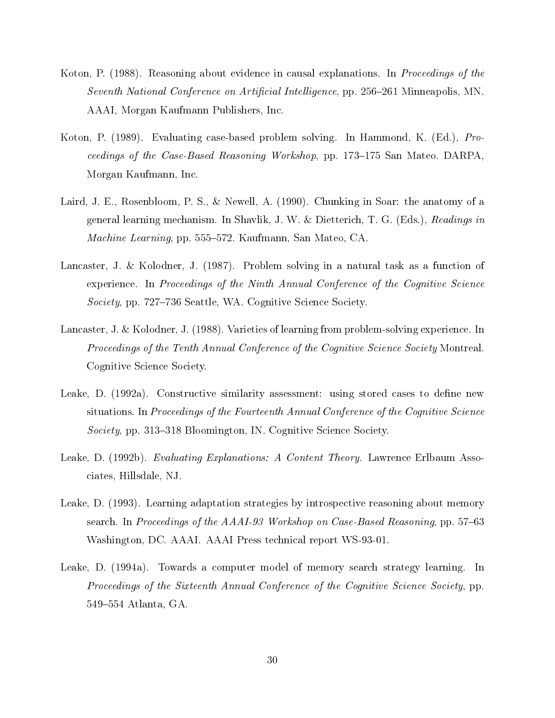- Koton, P. (1988). Reasoning about evidence in causal explanations. In *Proceedings of the* Seventh National Conference on Artificial Intelligence, pp. 256-261 Minneapolis, MN. AAAI, Morgan Kaufmann Publishers, Inc.
- Koton, P. (1989). Evaluating case-based problem solving. In Hammond, K. (Ed.), Proceedings of the Case-Based Reasoning Workshop, pp. 173–175 San Mateo. DARPA, Morgan Kaufmann, Inc.
- Laird, J. E., Rosenbloom, P. S., & Newell, A. (1990). Chunking in Soar: the anatomy of a general learning mechanism. In Shavlik, J. W. & Dietterich, T. G. (Eds.), Readings in Machine Learning, pp. 555–572. Kaufmann, San Mateo, CA.
- Lancaster, J. & Kolodner, J. (1987). Problem solving in a natural task as a function of experience. In Proceedings of the Ninth Annual Conference of the Cognitive Science Society, pp. 727–736 Seattle, WA. Cognitive Science Society.
- Lancaster, J. & Kolodner, J. (1988). Varieties of learning from problem-solving experience. In Proceedings of the Tenth Annual Conference of the Cognitive Science Society Montreal. Cognitive Science Society.
- Leake, D. (1992a). Constructive similarity assessment: using stored cases to define new situations. In Proceedings of the Fourteenth Annual Conference of the Cognitive Science Society, pp. 313-318 Bloomington, IN. Cognitive Science Society.
- Leake, D. (1992b). Evaluating Explanations: A Content Theory. Lawrence Erlbaum Associates, Hillsdale, NJ.
- Leake, D. (1993). Learning adaptation strategies by introspective reasoning about memory search. In Proceedings of the  $AAAI-93$  Workshop on Case-Based Reasoning, pp. 57–63 Washington, DC. AAAI. AAAI Press technical report WS-93-01.
- Leake, D. (1994a). Towards a computer model of memory search strategy learning. In Proceedings of the Sixteenth Annual Conference of the Cognitive Science Society, pp. 549–554 Atlanta, GA.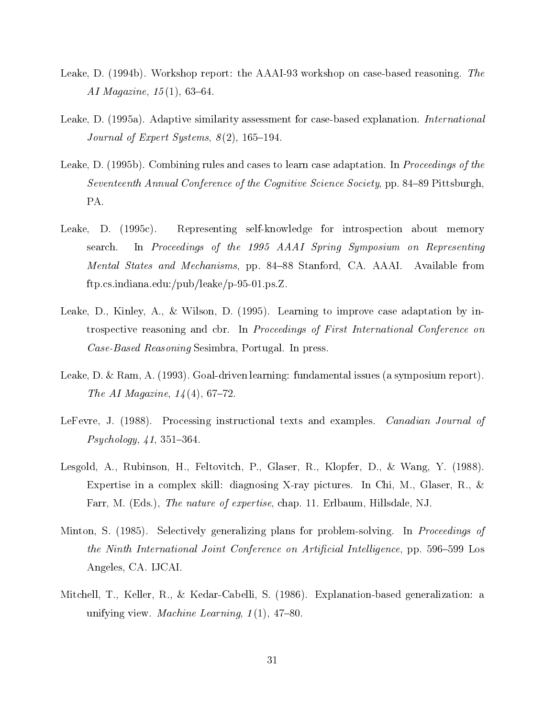- Leake, D. (1994b). Workshop report: the AAAI-93 workshop on case-based reasoning. The AI Magazine,  $15(1)$ , 63-64.
- Leake, D. (1995a). Adaptive similarity assessment for case-based explanation. International Journal of Expert Systems,  $8(2)$ , 165-194.
- Leake, D. (1995b). Combining rules and cases to learn case adaptation. In *Proceedings of the* Seventeenth Annual Conference of the Cognitive Science Society, pp. 84–89 Pittsburgh, PA.
- Leake, D. (1995c). Representing self-knowledge for introspection about memory search. In Proceedings of the 1995 AAAI Spring Symposium on Representing Mental States and Mechanisms, pp. 84–88 Stanford, CA. AAAI. Available from ftp.cs.indiana.edu:/pub/leake/p-95-01.ps.Z.
- Leake, D., Kinley, A., & Wilson, D. (1995). Learning to improve case adaptation by introspective reasoning and cbr. In Proceedings of First International Conference on Case-Based Reasoning Sesimbra, Portugal. In press.
- Leake, D. & Ram, A. (1993). Goal-driven learning: fundamental issues (a symposium report). The AI Magazine,  $14(4)$ , 67-72.
- LeFevre, J. (1988). Processing instructional texts and examples. *Canadian Journal of*  $P<sub>subology</sub>, 41, 351–364.$
- Lesgold, A., Rubinson, H., Feltovitch, P., Glaser, R., Klopfer, D., & Wang, Y. (1988). Expertise in a complex skill: diagnosing X-ray pictures. In Chi, M., Glaser, R., & Farr, M. (Eds.), *The nature of expertise*, chap. 11. Erlbaum, Hillsdale, NJ.
- Minton, S. (1985). Selectively generalizing plans for problem-solving. In *Proceedings of* the Ninth International Joint Conference on Artificial Intelligence, pp. 596–599 Los Angeles, CA. IJCAI.
- Mitchell, T., Keller, R., & Kedar-Cabelli, S. (1986). Explanation-based generalization: a unifying view. Machine Learning,  $1(1)$ , 47-80.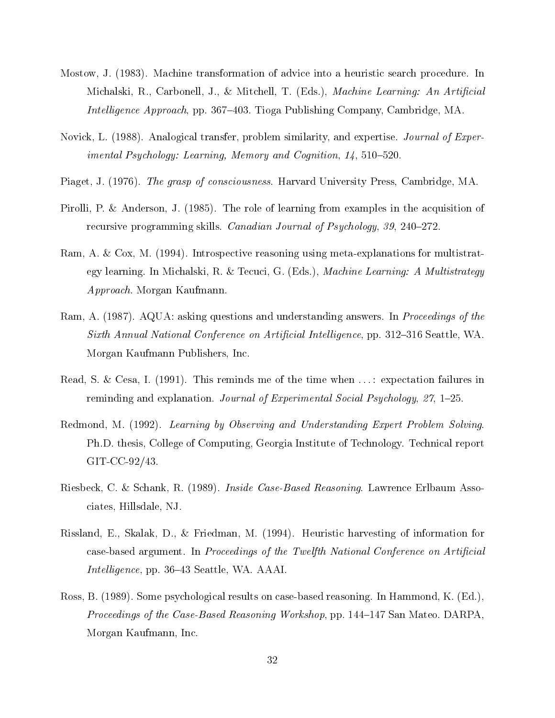- Mostow, J. (1983). Machine transformation of advice into a heuristic search procedure. In Michalski, R., Carbonell, J., & Mitchell, T. (Eds.), *Machine Learning: An Artificial* Intelligence Approach, pp. 367-403. Tioga Publishing Company, Cambridge, MA.
- Novick, L. (1988). Analogical transfer, problem similarity, and expertise. *Journal of Exper*imental Psychology: Learning, Memory and Cognition,  $14$ ,  $510-520$ .
- Piaget, J. (1976). The grasp of consciousness. Harvard University Press, Cambridge, MA.
- Pirolli, P. & Anderson, J. (1985). The role of learning from examples in the acquisition of recursive programming skills. *Canadian Journal of Psychology, 39, 240–272.*
- Ram, A. & Cox, M. (1994). Introspective reasoning using meta-explanations for multistrategy learning. In Michalski, R. & Tecuci, G. (Eds.), Machine Learning: A Multistrategy Approach. Morgan Kaufmann.
- Ram, A. (1987). AQUA: asking questions and understanding answers. In *Proceedings of the* Sixth Annual National Conference on Artificial Intelligence, pp. 312–316 Seattle, WA. Morgan Kaufmann Publishers, Inc.
- Read, S. & Cesa, I. (1991). This reminds me of the time when ...: expectation failures in reminding and explanation. Journal of Experimental Social Psychology,  $27$ , 1-25.
- Redmond, M. (1992). Learning by Observing and Understanding Expert Problem Solving. Ph.D. thesis, College of Computing, Georgia Institute of Technology. Technical report GIT-CC-92/43.
- Riesbeck, C. & Schank, R. (1989). *Inside Case-Based Reasoning*. Lawrence Erlbaum Associates, Hillsdale, NJ.
- Rissland, E., Skalak, D., & Friedman, M. (1994). Heuristic harvesting of information for case-based argument. In Proceedings of the Twelfth National Conference on Artificial Intelligence, pp. 36–43 Seattle, WA. AAAI.
- Ross, B. (1989). Some psychological results on case-based reasoning. In Hammond, K. (Ed.), *Proceedings of the Case-Based Reasoning Workshop*, pp.  $144-147$  San Mateo. DARPA, Morgan Kaufmann, Inc.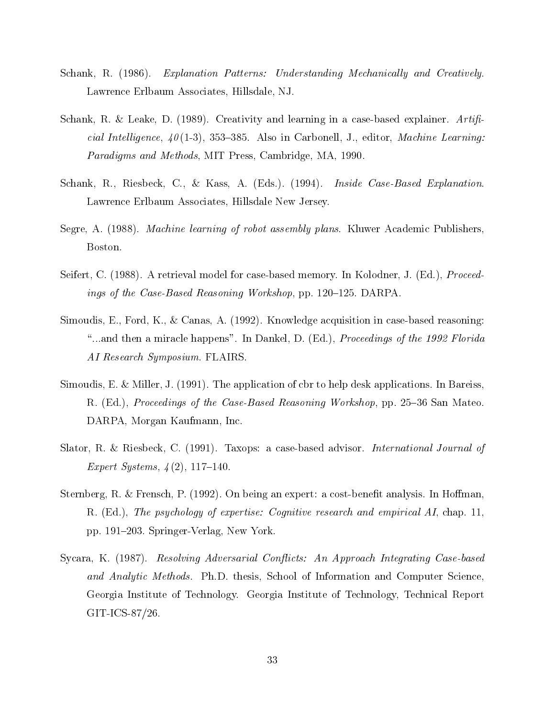- Schank, R. (1986). Explanation Patterns: Understanding Mechanically and Creatively. Lawrence Erlbaum Associates, Hillsdale, NJ.
- Schank, R. & Leake, D. (1989). Creativity and learning in a case-based explainer.  $Artif.$ cial Intelligence,  $40(1-3)$ , 353-385. Also in Carbonell, J., editor, *Machine Learning:* Paradigms and Methods, MIT Press, Cambridge, MA, 1990.
- Schank, R., Riesbeck, C., & Kass, A. (Eds.). (1994). *Inside Case-Based Explanation*. Lawrence Erlbaum Associates, Hillsdale New Jersey.
- Segre, A. (1988). *Machine learning of robot assembly plans.* Kluwer Academic Publishers, Boston.
- Seifert, C. (1988). A retrieval model for case-based memory. In Kolodner, J. (Ed.), Proceedings of the Case-Based Reasoning Workshop, pp.  $120-125$ . DARPA.
- Simoudis, E., Ford, K., & Canas, A. (1992). Knowledge acquisition in case-based reasoning: "...and then a miracle happens". In Dankel, D. (Ed.), Proceedings of the 1992 Florida AI Research Symposium. FLAIRS.
- Simoudis, E. & Miller, J. (1991). The application of cbr to help desk applications. In Bareiss, R. (Ed.), Proceedings of the Case-Based Reasoning Workshop, pp. 25–36 San Mateo. DARPA, Morgan Kaufmann, Inc.
- Slator, R. & Riesbeck, C. (1991). Taxops: a case-based advisor. *International Journal of* Expert Systems,  $4(2)$ , 117-140.
- Sternberg, R. & Frensch, P. (1992). On being an expert: a cost-benefit analysis. In Hoffman, R. (Ed.), The psychology of expertise: Cognitive research and empirical AI, chap. 11, pp. 191–203. Springer-Verlag, New York.
- Sycara, K. (1987). Resolving Adversarial Conflicts: An Approach Integrating Case-based and Analytic Methods. Ph.D. thesis, School of Information and Computer Science, Georgia Institute of Technology. Georgia Institute of Technology, Technical Report GIT-ICS-87/26.